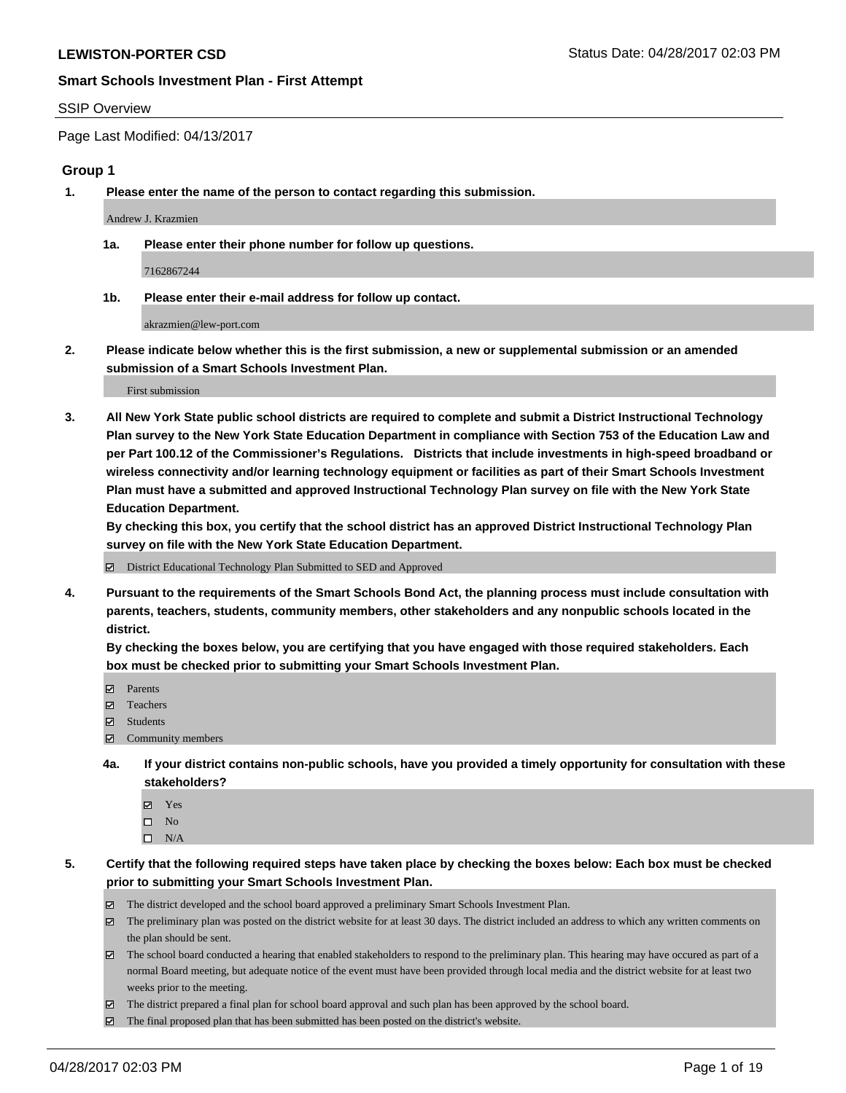#### SSIP Overview

Page Last Modified: 04/13/2017

## **Group 1**

**1. Please enter the name of the person to contact regarding this submission.**

Andrew J. Krazmien

**1a. Please enter their phone number for follow up questions.**

7162867244

**1b. Please enter their e-mail address for follow up contact.**

akrazmien@lew-port.com

**2. Please indicate below whether this is the first submission, a new or supplemental submission or an amended submission of a Smart Schools Investment Plan.**

First submission

**3. All New York State public school districts are required to complete and submit a District Instructional Technology Plan survey to the New York State Education Department in compliance with Section 753 of the Education Law and per Part 100.12 of the Commissioner's Regulations. Districts that include investments in high-speed broadband or wireless connectivity and/or learning technology equipment or facilities as part of their Smart Schools Investment Plan must have a submitted and approved Instructional Technology Plan survey on file with the New York State Education Department.** 

**By checking this box, you certify that the school district has an approved District Instructional Technology Plan survey on file with the New York State Education Department.**

District Educational Technology Plan Submitted to SED and Approved

**4. Pursuant to the requirements of the Smart Schools Bond Act, the planning process must include consultation with parents, teachers, students, community members, other stakeholders and any nonpublic schools located in the district.** 

**By checking the boxes below, you are certifying that you have engaged with those required stakeholders. Each box must be checked prior to submitting your Smart Schools Investment Plan.**

- **マ** Parents
- □ Teachers
- Students
- $\Xi$  Community members
- **4a. If your district contains non-public schools, have you provided a timely opportunity for consultation with these stakeholders?**
	- Yes
	- $\hfill \square$  No
	- $\square$  N/A
- **5. Certify that the following required steps have taken place by checking the boxes below: Each box must be checked prior to submitting your Smart Schools Investment Plan.**
	- The district developed and the school board approved a preliminary Smart Schools Investment Plan.
	- $\boxtimes$  The preliminary plan was posted on the district website for at least 30 days. The district included an address to which any written comments on the plan should be sent.
	- $\boxtimes$  The school board conducted a hearing that enabled stakeholders to respond to the preliminary plan. This hearing may have occured as part of a normal Board meeting, but adequate notice of the event must have been provided through local media and the district website for at least two weeks prior to the meeting.
	- The district prepared a final plan for school board approval and such plan has been approved by the school board.
	- $\boxtimes$  The final proposed plan that has been submitted has been posted on the district's website.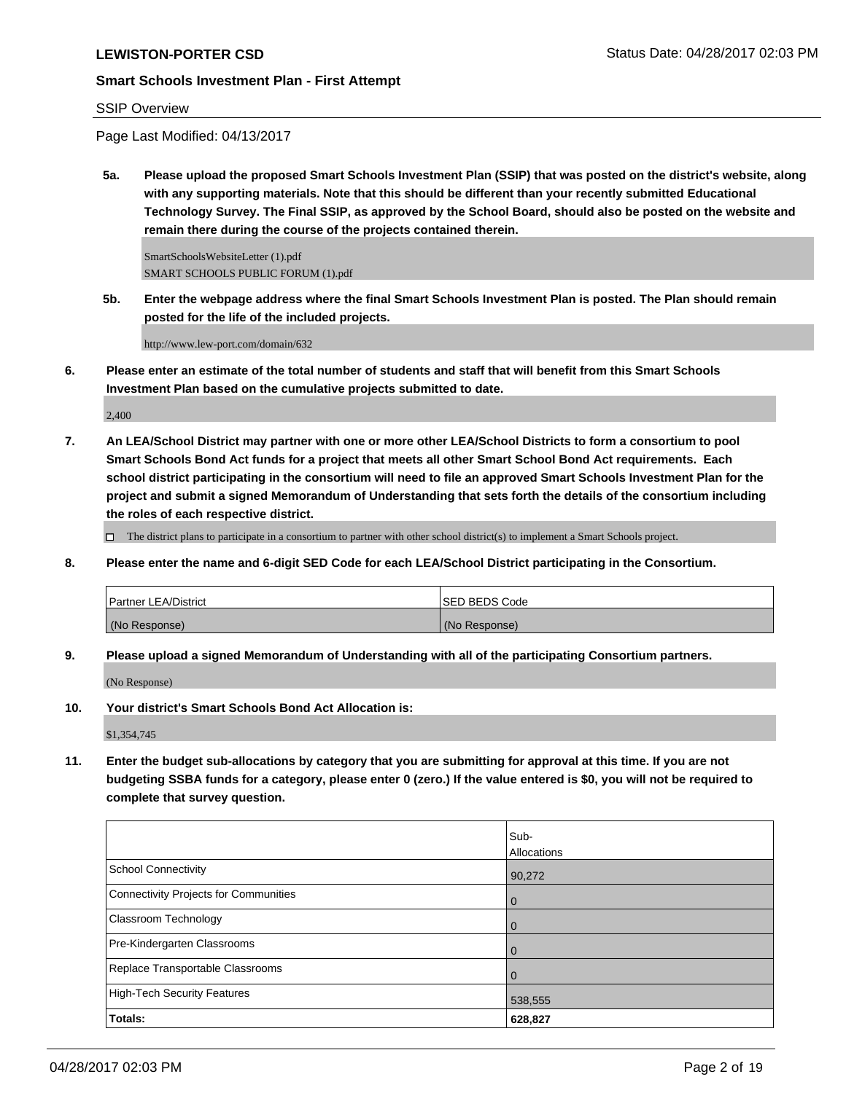### SSIP Overview

Page Last Modified: 04/13/2017

**5a. Please upload the proposed Smart Schools Investment Plan (SSIP) that was posted on the district's website, along with any supporting materials. Note that this should be different than your recently submitted Educational Technology Survey. The Final SSIP, as approved by the School Board, should also be posted on the website and remain there during the course of the projects contained therein.**

SmartSchoolsWebsiteLetter (1).pdf SMART SCHOOLS PUBLIC FORUM (1).pdf

**5b. Enter the webpage address where the final Smart Schools Investment Plan is posted. The Plan should remain posted for the life of the included projects.**

http://www.lew-port.com/domain/632

**6. Please enter an estimate of the total number of students and staff that will benefit from this Smart Schools Investment Plan based on the cumulative projects submitted to date.**

2,400

**7. An LEA/School District may partner with one or more other LEA/School Districts to form a consortium to pool Smart Schools Bond Act funds for a project that meets all other Smart School Bond Act requirements. Each school district participating in the consortium will need to file an approved Smart Schools Investment Plan for the project and submit a signed Memorandum of Understanding that sets forth the details of the consortium including the roles of each respective district.**

 $\Box$  The district plans to participate in a consortium to partner with other school district(s) to implement a Smart Schools project.

**8. Please enter the name and 6-digit SED Code for each LEA/School District participating in the Consortium.**

| <b>Partner LEA/District</b> | <b>ISED BEDS Code</b> |
|-----------------------------|-----------------------|
| (No Response)               | (No Response)         |

**9. Please upload a signed Memorandum of Understanding with all of the participating Consortium partners.**

(No Response)

**10. Your district's Smart Schools Bond Act Allocation is:**

\$1,354,745

**11. Enter the budget sub-allocations by category that you are submitting for approval at this time. If you are not budgeting SSBA funds for a category, please enter 0 (zero.) If the value entered is \$0, you will not be required to complete that survey question.**

|                                       | Sub-           |
|---------------------------------------|----------------|
|                                       | Allocations    |
| <b>School Connectivity</b>            | 90,272         |
| Connectivity Projects for Communities | $\overline{0}$ |
| <b>Classroom Technology</b>           | $\Omega$       |
| Pre-Kindergarten Classrooms           | $\overline{0}$ |
| Replace Transportable Classrooms      | $\Omega$       |
| High-Tech Security Features           | 538,555        |
| Totals:                               | 628,827        |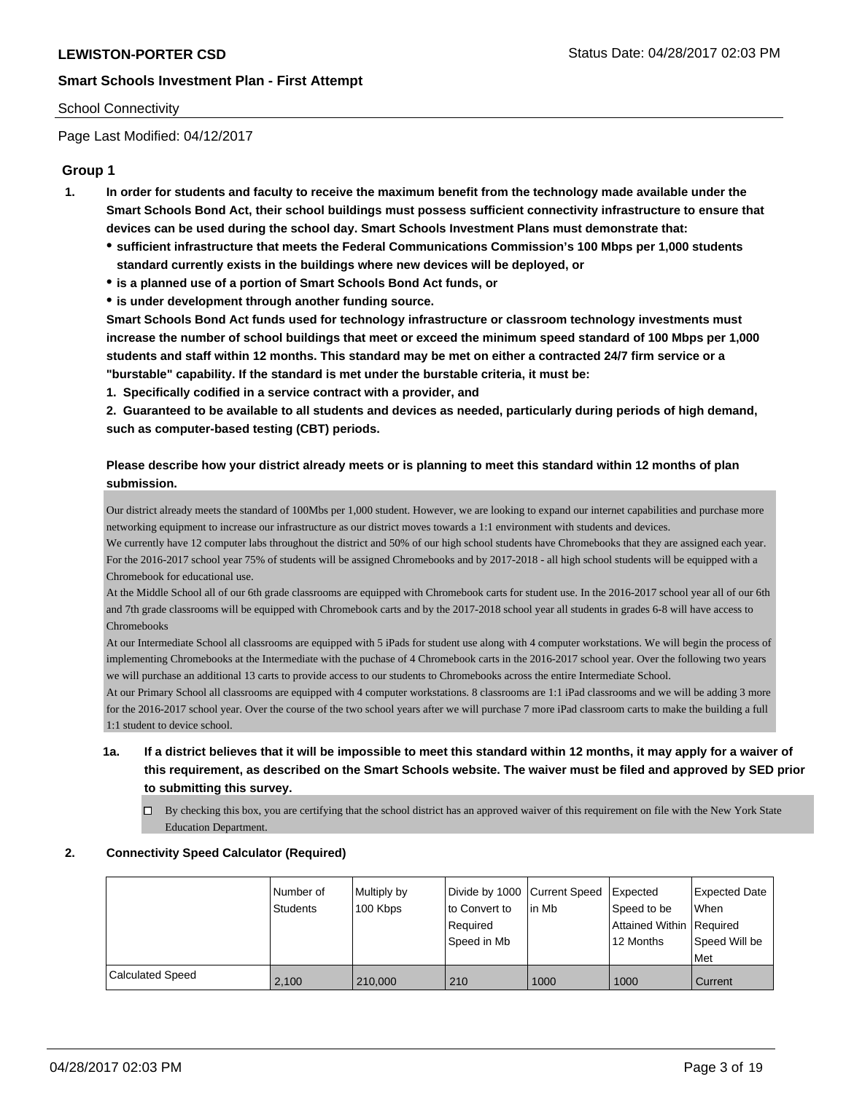#### School Connectivity

Page Last Modified: 04/12/2017

## **Group 1**

- **1. In order for students and faculty to receive the maximum benefit from the technology made available under the Smart Schools Bond Act, their school buildings must possess sufficient connectivity infrastructure to ensure that devices can be used during the school day. Smart Schools Investment Plans must demonstrate that:**
	- **sufficient infrastructure that meets the Federal Communications Commission's 100 Mbps per 1,000 students standard currently exists in the buildings where new devices will be deployed, or**
	- **is a planned use of a portion of Smart Schools Bond Act funds, or**
	- **is under development through another funding source.**

**Smart Schools Bond Act funds used for technology infrastructure or classroom technology investments must increase the number of school buildings that meet or exceed the minimum speed standard of 100 Mbps per 1,000 students and staff within 12 months. This standard may be met on either a contracted 24/7 firm service or a "burstable" capability. If the standard is met under the burstable criteria, it must be:**

**1. Specifically codified in a service contract with a provider, and**

**2. Guaranteed to be available to all students and devices as needed, particularly during periods of high demand, such as computer-based testing (CBT) periods.**

## **Please describe how your district already meets or is planning to meet this standard within 12 months of plan submission.**

Our district already meets the standard of 100Mbs per 1,000 student. However, we are looking to expand our internet capabilities and purchase more networking equipment to increase our infrastructure as our district moves towards a 1:1 environment with students and devices.

We currently have 12 computer labs throughout the district and 50% of our high school students have Chromebooks that they are assigned each year. For the 2016-2017 school year 75% of students will be assigned Chromebooks and by 2017-2018 - all high school students will be equipped with a Chromebook for educational use.

At the Middle School all of our 6th grade classrooms are equipped with Chromebook carts for student use. In the 2016-2017 school year all of our 6th and 7th grade classrooms will be equipped with Chromebook carts and by the 2017-2018 school year all students in grades 6-8 will have access to **Chromebooks** 

At our Intermediate School all classrooms are equipped with 5 iPads for student use along with 4 computer workstations. We will begin the process of implementing Chromebooks at the Intermediate with the puchase of 4 Chromebook carts in the 2016-2017 school year. Over the following two years we will purchase an additional 13 carts to provide access to our students to Chromebooks across the entire Intermediate School.

At our Primary School all classrooms are equipped with 4 computer workstations. 8 classrooms are 1:1 iPad classrooms and we will be adding 3 more for the 2016-2017 school year. Over the course of the two school years after we will purchase 7 more iPad classroom carts to make the building a full 1:1 student to device school.

## **1a. If a district believes that it will be impossible to meet this standard within 12 months, it may apply for a waiver of this requirement, as described on the Smart Schools website. The waiver must be filed and approved by SED prior to submitting this survey.**

By checking this box, you are certifying that the school district has an approved waiver of this requirement on file with the New York State Education Department.

#### **2. Connectivity Speed Calculator (Required)**

|                  | I Number of<br>Students | Multiply by<br>100 Kbps | Divide by 1000 Current Speed<br>to Convert to<br>Reauired<br>Speed in Mb | in Mb | Expected<br>Speed to be<br>Attained Within   Required<br>12 Months | <b>Expected Date</b><br><b>When</b><br>Speed Will be<br>Met |
|------------------|-------------------------|-------------------------|--------------------------------------------------------------------------|-------|--------------------------------------------------------------------|-------------------------------------------------------------|
| Calculated Speed | 2,100                   | 210,000                 | 210                                                                      | 1000  | 1000                                                               | Current                                                     |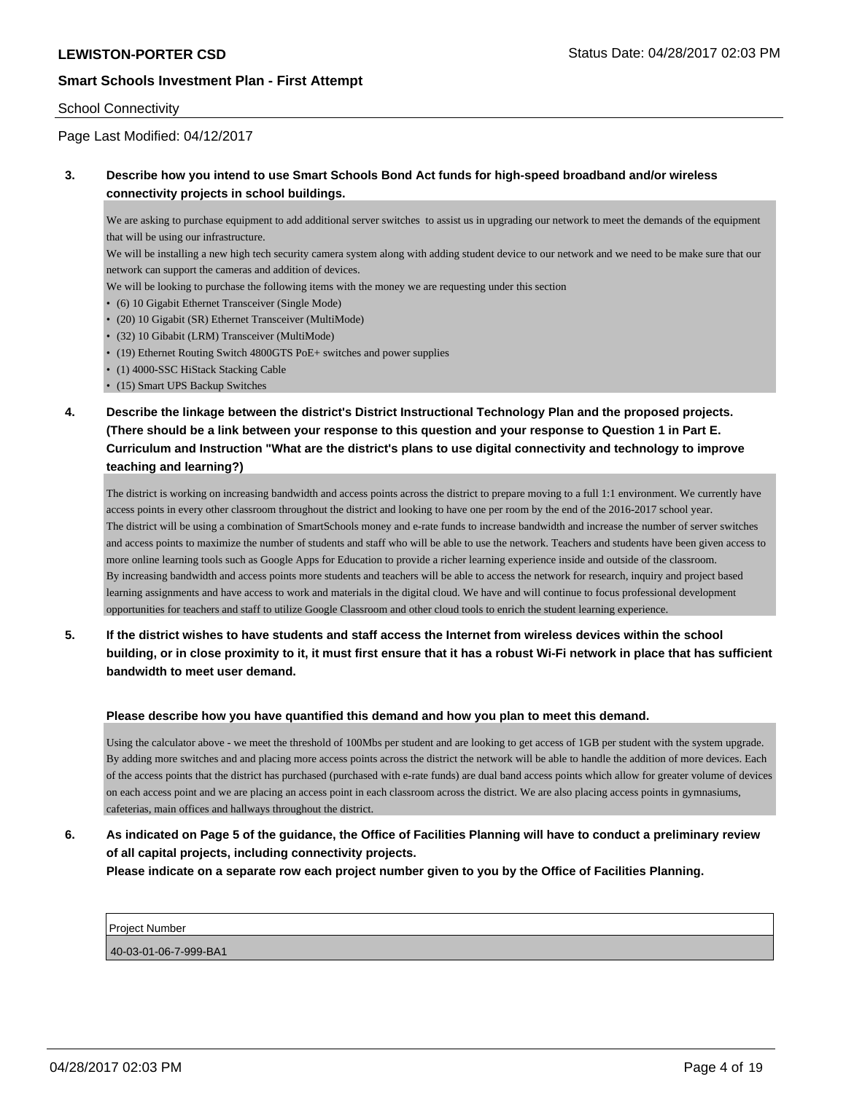#### School Connectivity

Page Last Modified: 04/12/2017

### **3. Describe how you intend to use Smart Schools Bond Act funds for high-speed broadband and/or wireless connectivity projects in school buildings.**

We are asking to purchase equipment to add additional server switches to assist us in upgrading our network to meet the demands of the equipment that will be using our infrastructure.

We will be installing a new high tech security camera system along with adding student device to our network and we need to be make sure that our network can support the cameras and addition of devices.

- We will be looking to purchase the following items with the money we are requesting under this section
- (6) 10 Gigabit Ethernet Transceiver (Single Mode)
- (20) 10 Gigabit (SR) Ethernet Transceiver (MultiMode)
- (32) 10 Gibabit (LRM) Transceiver (MultiMode)
- (19) Ethernet Routing Switch 4800GTS PoE+ switches and power supplies
- (1) 4000-SSC HiStack Stacking Cable
- (15) Smart UPS Backup Switches
- **4. Describe the linkage between the district's District Instructional Technology Plan and the proposed projects. (There should be a link between your response to this question and your response to Question 1 in Part E. Curriculum and Instruction "What are the district's plans to use digital connectivity and technology to improve teaching and learning?)**

The district is working on increasing bandwidth and access points across the district to prepare moving to a full 1:1 environment. We currently have access points in every other classroom throughout the district and looking to have one per room by the end of the 2016-2017 school year. The district will be using a combination of SmartSchools money and e-rate funds to increase bandwidth and increase the number of server switches and access points to maximize the number of students and staff who will be able to use the network. Teachers and students have been given access to more online learning tools such as Google Apps for Education to provide a richer learning experience inside and outside of the classroom. By increasing bandwidth and access points more students and teachers will be able to access the network for research, inquiry and project based learning assignments and have access to work and materials in the digital cloud. We have and will continue to focus professional development opportunities for teachers and staff to utilize Google Classroom and other cloud tools to enrich the student learning experience.

**5. If the district wishes to have students and staff access the Internet from wireless devices within the school building, or in close proximity to it, it must first ensure that it has a robust Wi-Fi network in place that has sufficient bandwidth to meet user demand.**

#### **Please describe how you have quantified this demand and how you plan to meet this demand.**

Using the calculator above - we meet the threshold of 100Mbs per student and are looking to get access of 1GB per student with the system upgrade. By adding more switches and and placing more access points across the district the network will be able to handle the addition of more devices. Each of the access points that the district has purchased (purchased with e-rate funds) are dual band access points which allow for greater volume of devices on each access point and we are placing an access point in each classroom across the district. We are also placing access points in gymnasiums, cafeterias, main offices and hallways throughout the district.

**6. As indicated on Page 5 of the guidance, the Office of Facilities Planning will have to conduct a preliminary review of all capital projects, including connectivity projects. Please indicate on a separate row each project number given to you by the Office of Facilities Planning.**

| <b>Project Number</b> |  |
|-----------------------|--|
| 40-03-01-06-7-999-BA1 |  |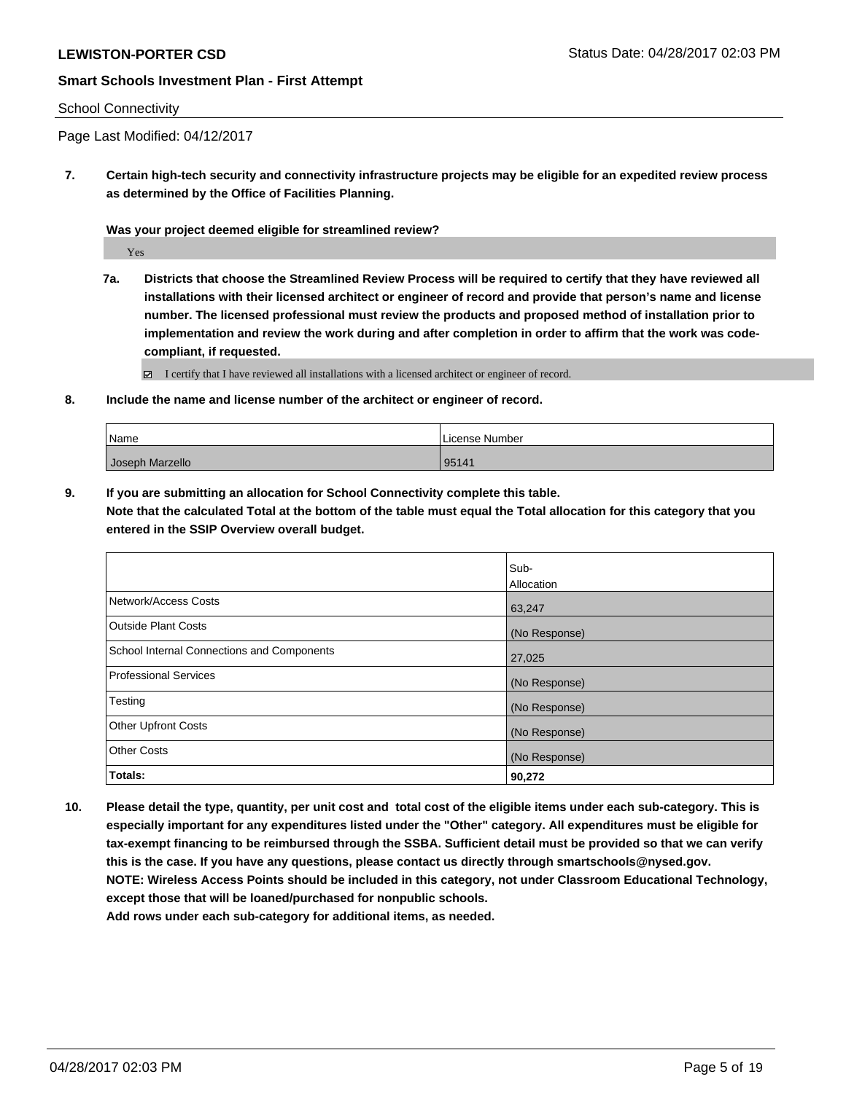#### School Connectivity

Page Last Modified: 04/12/2017

**7. Certain high-tech security and connectivity infrastructure projects may be eligible for an expedited review process as determined by the Office of Facilities Planning.**

**Was your project deemed eligible for streamlined review?**

Yes

**7a. Districts that choose the Streamlined Review Process will be required to certify that they have reviewed all installations with their licensed architect or engineer of record and provide that person's name and license number. The licensed professional must review the products and proposed method of installation prior to implementation and review the work during and after completion in order to affirm that the work was codecompliant, if requested.**

I certify that I have reviewed all installations with a licensed architect or engineer of record.

**8. Include the name and license number of the architect or engineer of record.**

| <b>Name</b>     | License Number |
|-----------------|----------------|
| Joseph Marzello | 95141          |

**9. If you are submitting an allocation for School Connectivity complete this table. Note that the calculated Total at the bottom of the table must equal the Total allocation for this category that you entered in the SSIP Overview overall budget.** 

|                                            | Sub-          |
|--------------------------------------------|---------------|
|                                            | Allocation    |
| Network/Access Costs                       | 63,247        |
| <b>Outside Plant Costs</b>                 | (No Response) |
| School Internal Connections and Components | 27,025        |
| Professional Services                      | (No Response) |
| Testing                                    | (No Response) |
| <b>Other Upfront Costs</b>                 | (No Response) |
| <b>Other Costs</b>                         | (No Response) |
| Totals:                                    | 90,272        |

**10. Please detail the type, quantity, per unit cost and total cost of the eligible items under each sub-category. This is especially important for any expenditures listed under the "Other" category. All expenditures must be eligible for tax-exempt financing to be reimbursed through the SSBA. Sufficient detail must be provided so that we can verify this is the case. If you have any questions, please contact us directly through smartschools@nysed.gov. NOTE: Wireless Access Points should be included in this category, not under Classroom Educational Technology, except those that will be loaned/purchased for nonpublic schools. Add rows under each sub-category for additional items, as needed.**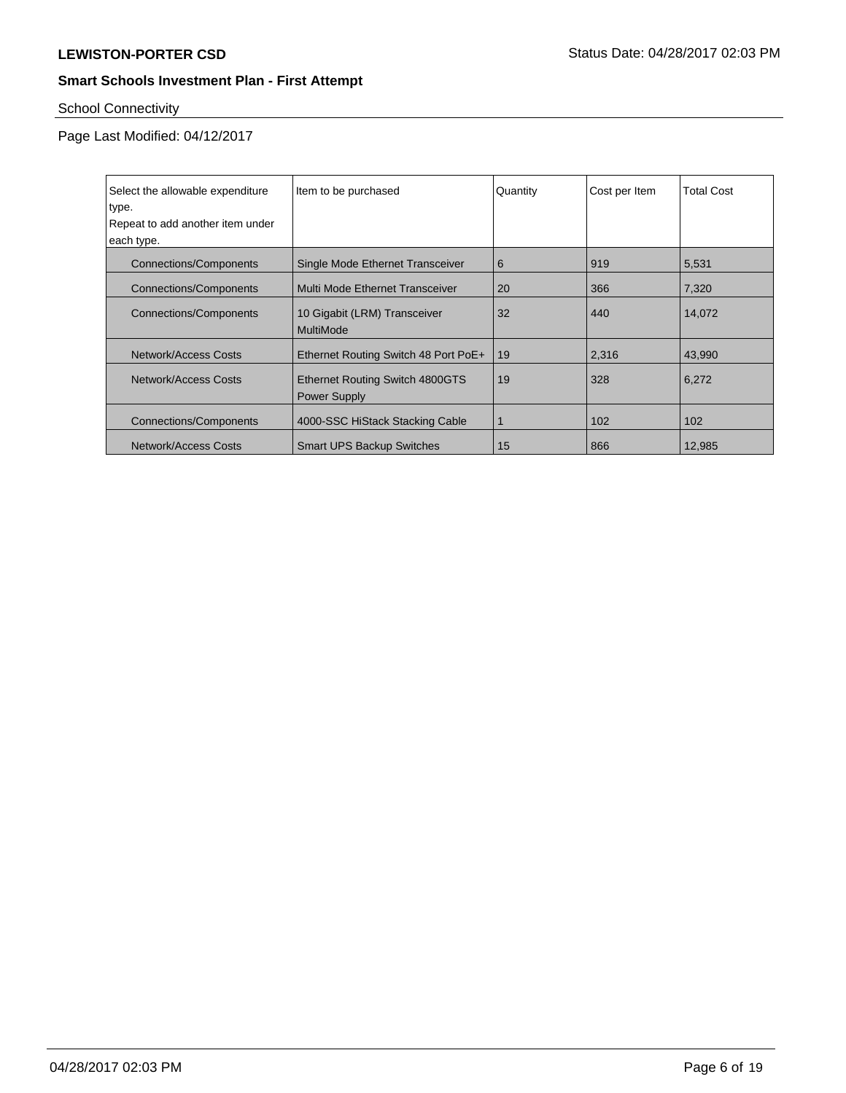# School Connectivity

Page Last Modified: 04/12/2017

| Select the allowable expenditure | Item to be purchased                                   | Quantity | Cost per Item | <b>Total Cost</b> |
|----------------------------------|--------------------------------------------------------|----------|---------------|-------------------|
| type.                            |                                                        |          |               |                   |
| Repeat to add another item under |                                                        |          |               |                   |
| each type.                       |                                                        |          |               |                   |
| Connections/Components           | Single Mode Ethernet Transceiver                       | 6        | 919           | 5,531             |
| <b>Connections/Components</b>    | l Multi Mode Ethernet Transceiver                      | 20       | 366           | 7,320             |
| <b>Connections/Components</b>    | 10 Gigabit (LRM) Transceiver<br>MultiMode              | 32       | 440           | 14,072            |
| Network/Access Costs             | Ethernet Routing Switch 48 Port PoE+                   | 19       | 2,316         | 43,990            |
| Network/Access Costs             | Ethernet Routing Switch 4800GTS<br><b>Power Supply</b> | 19       | 328           | 6,272             |
| <b>Connections/Components</b>    | 4000-SSC HiStack Stacking Cable                        |          | 102           | 102               |
| Network/Access Costs             | <b>Smart UPS Backup Switches</b>                       | 15       | 866           | 12,985            |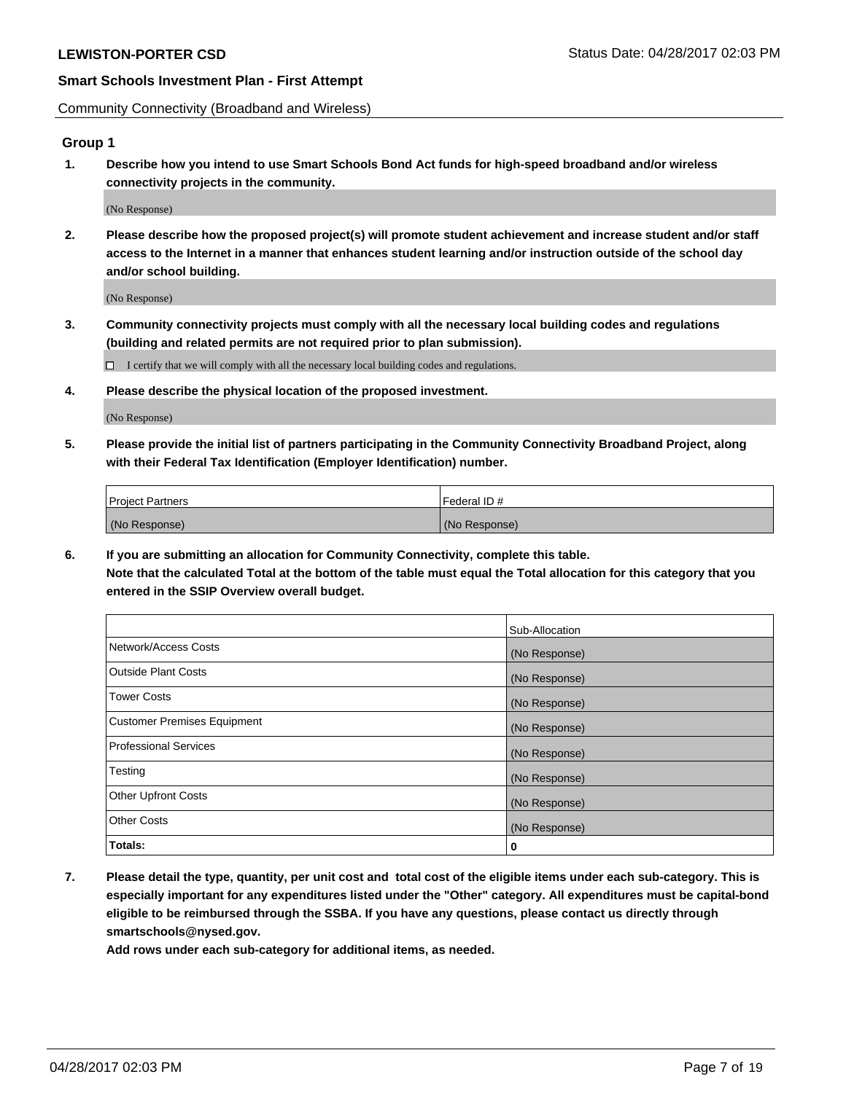Community Connectivity (Broadband and Wireless)

## **Group 1**

**1. Describe how you intend to use Smart Schools Bond Act funds for high-speed broadband and/or wireless connectivity projects in the community.**

(No Response)

**2. Please describe how the proposed project(s) will promote student achievement and increase student and/or staff access to the Internet in a manner that enhances student learning and/or instruction outside of the school day and/or school building.**

(No Response)

**3. Community connectivity projects must comply with all the necessary local building codes and regulations (building and related permits are not required prior to plan submission).**

 $\Box$  I certify that we will comply with all the necessary local building codes and regulations.

**4. Please describe the physical location of the proposed investment.**

(No Response)

**5. Please provide the initial list of partners participating in the Community Connectivity Broadband Project, along with their Federal Tax Identification (Employer Identification) number.**

| <b>Project Partners</b> | Federal ID#   |
|-------------------------|---------------|
| (No Response)           | (No Response) |

**6. If you are submitting an allocation for Community Connectivity, complete this table. Note that the calculated Total at the bottom of the table must equal the Total allocation for this category that you entered in the SSIP Overview overall budget.**

|                                    | Sub-Allocation |
|------------------------------------|----------------|
| Network/Access Costs               | (No Response)  |
| Outside Plant Costs                | (No Response)  |
| <b>Tower Costs</b>                 | (No Response)  |
| <b>Customer Premises Equipment</b> | (No Response)  |
| Professional Services              | (No Response)  |
| Testing                            | (No Response)  |
| <b>Other Upfront Costs</b>         | (No Response)  |
| <b>Other Costs</b>                 | (No Response)  |
| Totals:                            | 0              |

**7. Please detail the type, quantity, per unit cost and total cost of the eligible items under each sub-category. This is especially important for any expenditures listed under the "Other" category. All expenditures must be capital-bond eligible to be reimbursed through the SSBA. If you have any questions, please contact us directly through smartschools@nysed.gov.**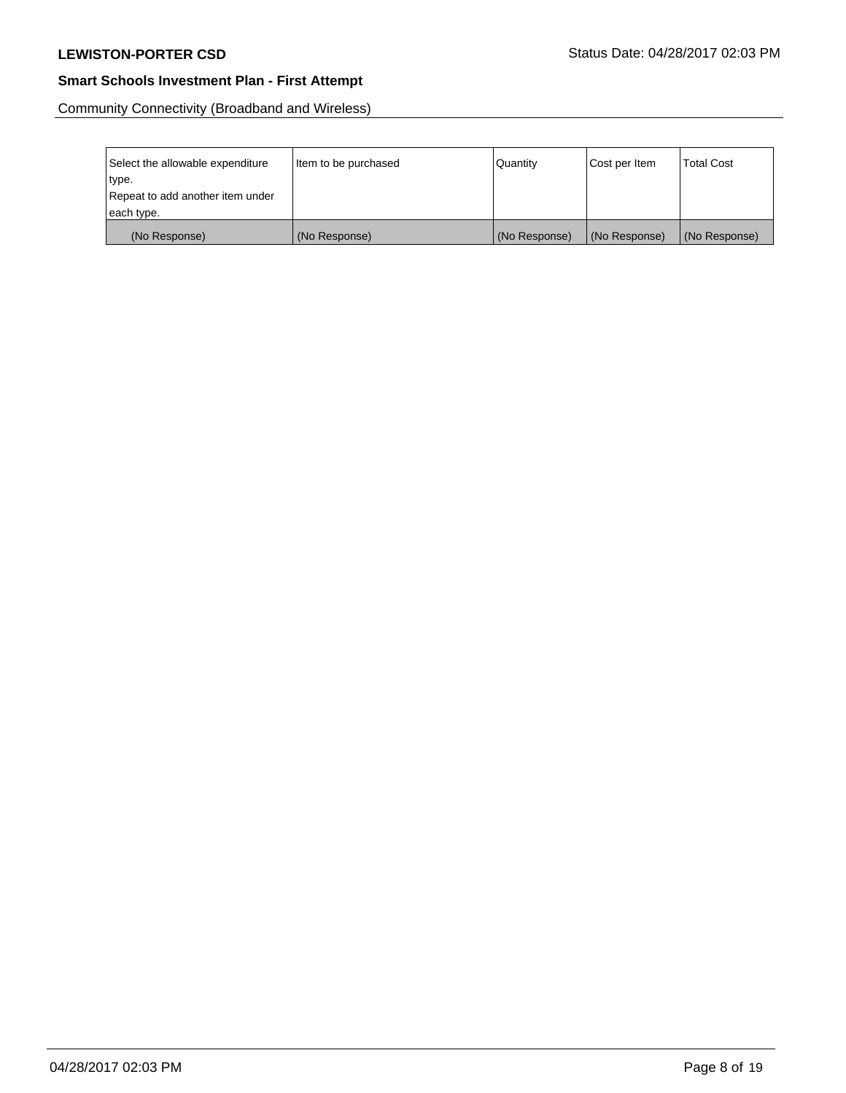Community Connectivity (Broadband and Wireless)

| Select the allowable expenditure<br>type. | Item to be purchased | Quantity      | Cost per Item | Total Cost    |
|-------------------------------------------|----------------------|---------------|---------------|---------------|
| Repeat to add another item under          |                      |               |               |               |
| each type.                                |                      |               |               |               |
| (No Response)                             | (No Response)        | (No Response) | (No Response) | (No Response) |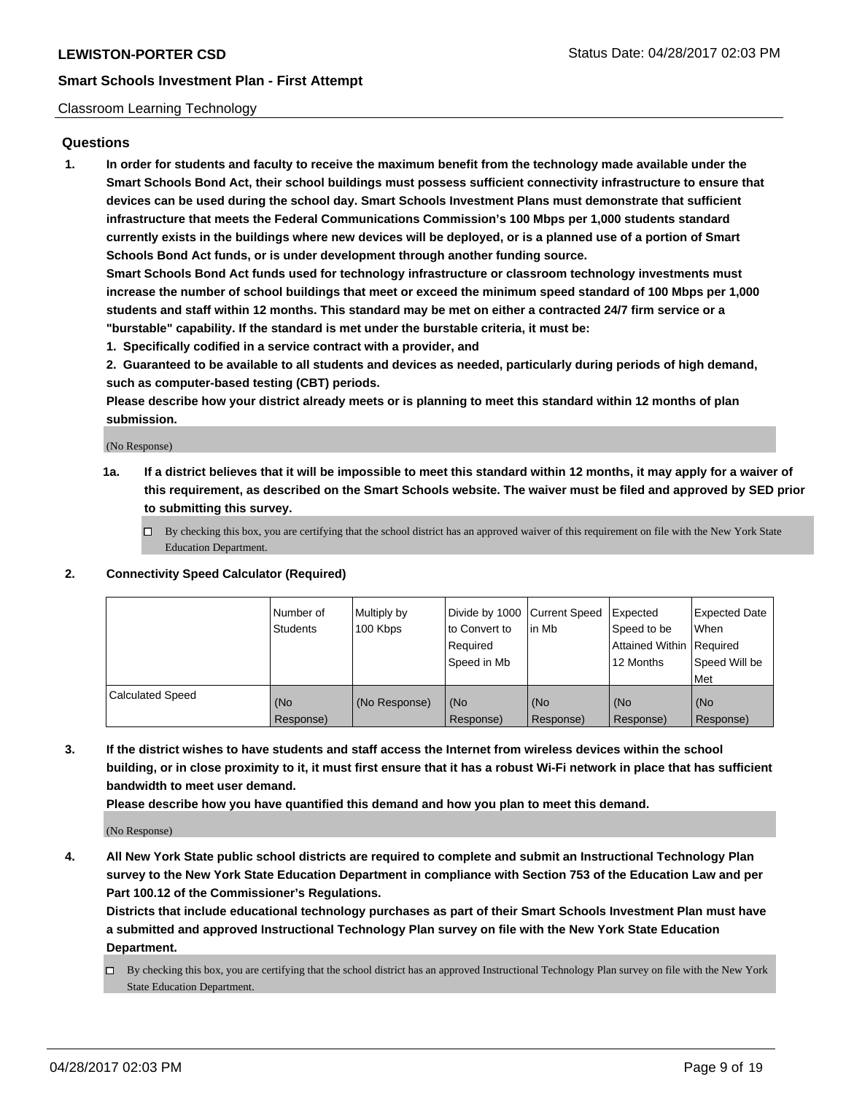#### Classroom Learning Technology

## **Questions**

**1. In order for students and faculty to receive the maximum benefit from the technology made available under the Smart Schools Bond Act, their school buildings must possess sufficient connectivity infrastructure to ensure that devices can be used during the school day. Smart Schools Investment Plans must demonstrate that sufficient infrastructure that meets the Federal Communications Commission's 100 Mbps per 1,000 students standard currently exists in the buildings where new devices will be deployed, or is a planned use of a portion of Smart Schools Bond Act funds, or is under development through another funding source.**

**Smart Schools Bond Act funds used for technology infrastructure or classroom technology investments must increase the number of school buildings that meet or exceed the minimum speed standard of 100 Mbps per 1,000 students and staff within 12 months. This standard may be met on either a contracted 24/7 firm service or a "burstable" capability. If the standard is met under the burstable criteria, it must be:**

**1. Specifically codified in a service contract with a provider, and**

**2. Guaranteed to be available to all students and devices as needed, particularly during periods of high demand, such as computer-based testing (CBT) periods.**

**Please describe how your district already meets or is planning to meet this standard within 12 months of plan submission.**

(No Response)

- **1a. If a district believes that it will be impossible to meet this standard within 12 months, it may apply for a waiver of this requirement, as described on the Smart Schools website. The waiver must be filed and approved by SED prior to submitting this survey.**
	- $\Box$  By checking this box, you are certifying that the school district has an approved waiver of this requirement on file with the New York State Education Department.

#### **2. Connectivity Speed Calculator (Required)**

|                         | Number of<br><b>Students</b> | Multiply by<br>100 Kbps | Divide by 1000 Current Speed<br>to Convert to<br>Required<br>l Speed in Mb | in Mb                        | Expected<br>Speed to be<br>Attained Within   Required<br>12 Months | <b>Expected Date</b><br><b>When</b><br>Speed Will be<br>Met |
|-------------------------|------------------------------|-------------------------|----------------------------------------------------------------------------|------------------------------|--------------------------------------------------------------------|-------------------------------------------------------------|
| <b>Calculated Speed</b> | (No<br>Response)             | (No Response)           | l (No<br>Response)                                                         | KN <sub>O</sub><br>Response) | (No<br>Response)                                                   | (No<br>Response)                                            |

**3. If the district wishes to have students and staff access the Internet from wireless devices within the school building, or in close proximity to it, it must first ensure that it has a robust Wi-Fi network in place that has sufficient bandwidth to meet user demand.**

**Please describe how you have quantified this demand and how you plan to meet this demand.**

(No Response)

**4. All New York State public school districts are required to complete and submit an Instructional Technology Plan survey to the New York State Education Department in compliance with Section 753 of the Education Law and per Part 100.12 of the Commissioner's Regulations.**

**Districts that include educational technology purchases as part of their Smart Schools Investment Plan must have a submitted and approved Instructional Technology Plan survey on file with the New York State Education Department.**

By checking this box, you are certifying that the school district has an approved Instructional Technology Plan survey on file with the New York State Education Department.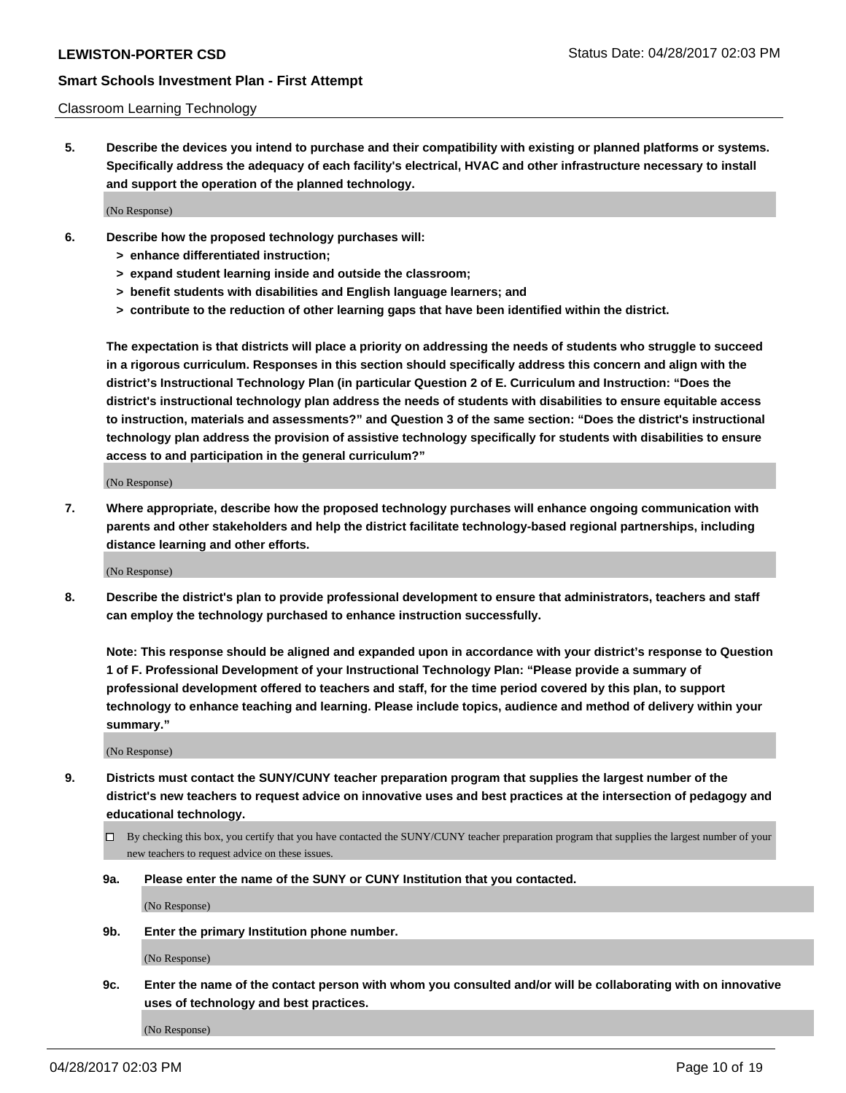#### Classroom Learning Technology

**5. Describe the devices you intend to purchase and their compatibility with existing or planned platforms or systems. Specifically address the adequacy of each facility's electrical, HVAC and other infrastructure necessary to install and support the operation of the planned technology.**

(No Response)

- **6. Describe how the proposed technology purchases will:**
	- **> enhance differentiated instruction;**
	- **> expand student learning inside and outside the classroom;**
	- **> benefit students with disabilities and English language learners; and**
	- **> contribute to the reduction of other learning gaps that have been identified within the district.**

**The expectation is that districts will place a priority on addressing the needs of students who struggle to succeed in a rigorous curriculum. Responses in this section should specifically address this concern and align with the district's Instructional Technology Plan (in particular Question 2 of E. Curriculum and Instruction: "Does the district's instructional technology plan address the needs of students with disabilities to ensure equitable access to instruction, materials and assessments?" and Question 3 of the same section: "Does the district's instructional technology plan address the provision of assistive technology specifically for students with disabilities to ensure access to and participation in the general curriculum?"**

(No Response)

**7. Where appropriate, describe how the proposed technology purchases will enhance ongoing communication with parents and other stakeholders and help the district facilitate technology-based regional partnerships, including distance learning and other efforts.**

(No Response)

**8. Describe the district's plan to provide professional development to ensure that administrators, teachers and staff can employ the technology purchased to enhance instruction successfully.**

**Note: This response should be aligned and expanded upon in accordance with your district's response to Question 1 of F. Professional Development of your Instructional Technology Plan: "Please provide a summary of professional development offered to teachers and staff, for the time period covered by this plan, to support technology to enhance teaching and learning. Please include topics, audience and method of delivery within your summary."**

(No Response)

- **9. Districts must contact the SUNY/CUNY teacher preparation program that supplies the largest number of the district's new teachers to request advice on innovative uses and best practices at the intersection of pedagogy and educational technology.**
	- By checking this box, you certify that you have contacted the SUNY/CUNY teacher preparation program that supplies the largest number of your new teachers to request advice on these issues.
	- **9a. Please enter the name of the SUNY or CUNY Institution that you contacted.**

(No Response)

**9b. Enter the primary Institution phone number.**

(No Response)

**9c. Enter the name of the contact person with whom you consulted and/or will be collaborating with on innovative uses of technology and best practices.**

(No Response)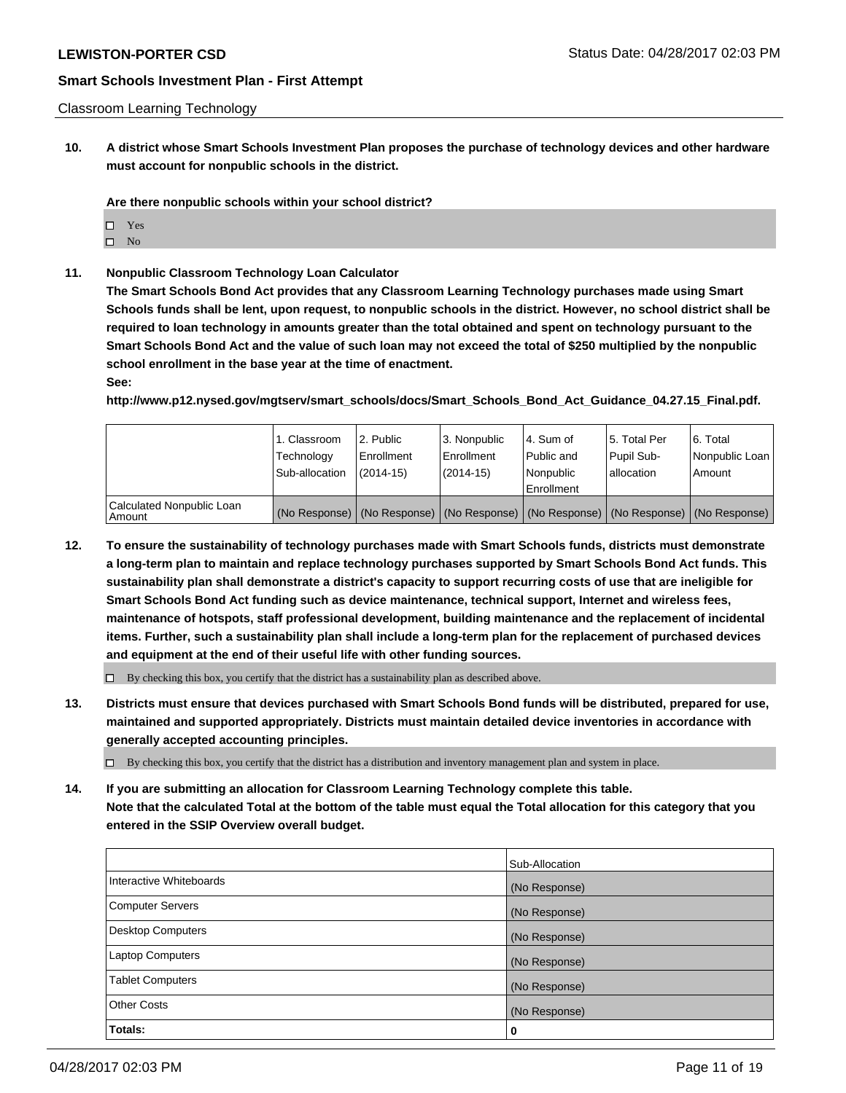#### Classroom Learning Technology

**10. A district whose Smart Schools Investment Plan proposes the purchase of technology devices and other hardware must account for nonpublic schools in the district.**

**Are there nonpublic schools within your school district?**

- □ Yes
- $\square$  No
- **11. Nonpublic Classroom Technology Loan Calculator**

**The Smart Schools Bond Act provides that any Classroom Learning Technology purchases made using Smart Schools funds shall be lent, upon request, to nonpublic schools in the district. However, no school district shall be required to loan technology in amounts greater than the total obtained and spent on technology pursuant to the Smart Schools Bond Act and the value of such loan may not exceed the total of \$250 multiplied by the nonpublic school enrollment in the base year at the time of enactment.**

#### **See:**

**http://www.p12.nysed.gov/mgtserv/smart\_schools/docs/Smart\_Schools\_Bond\_Act\_Guidance\_04.27.15\_Final.pdf.**

|                                     | 1. Classroom<br>Technology<br>Sub-allocation | 2. Public<br>Enrollment<br>(2014-15) | 3. Nonpublic<br>Enrollment<br>(2014-15) | l 4. Sum of<br>Public and<br>l Nonpublic<br>Enrollment                                        | 15. Total Per<br>Pupil Sub-<br>l allocation | l 6. Total<br>Nonpublic Loan<br>l Amount |
|-------------------------------------|----------------------------------------------|--------------------------------------|-----------------------------------------|-----------------------------------------------------------------------------------------------|---------------------------------------------|------------------------------------------|
| Calculated Nonpublic Loan<br>Amount |                                              |                                      |                                         | (No Response)   (No Response)   (No Response)   (No Response)   (No Response)   (No Response) |                                             |                                          |

**12. To ensure the sustainability of technology purchases made with Smart Schools funds, districts must demonstrate a long-term plan to maintain and replace technology purchases supported by Smart Schools Bond Act funds. This sustainability plan shall demonstrate a district's capacity to support recurring costs of use that are ineligible for Smart Schools Bond Act funding such as device maintenance, technical support, Internet and wireless fees, maintenance of hotspots, staff professional development, building maintenance and the replacement of incidental items. Further, such a sustainability plan shall include a long-term plan for the replacement of purchased devices and equipment at the end of their useful life with other funding sources.**

 $\Box$  By checking this box, you certify that the district has a sustainability plan as described above.

**13. Districts must ensure that devices purchased with Smart Schools Bond funds will be distributed, prepared for use, maintained and supported appropriately. Districts must maintain detailed device inventories in accordance with generally accepted accounting principles.**

By checking this box, you certify that the district has a distribution and inventory management plan and system in place.

**14. If you are submitting an allocation for Classroom Learning Technology complete this table. Note that the calculated Total at the bottom of the table must equal the Total allocation for this category that you entered in the SSIP Overview overall budget.**

|                          | Sub-Allocation |
|--------------------------|----------------|
| Interactive Whiteboards  | (No Response)  |
| <b>Computer Servers</b>  | (No Response)  |
| <b>Desktop Computers</b> | (No Response)  |
| Laptop Computers         | (No Response)  |
| <b>Tablet Computers</b>  | (No Response)  |
| <b>Other Costs</b>       | (No Response)  |
| Totals:                  | 0              |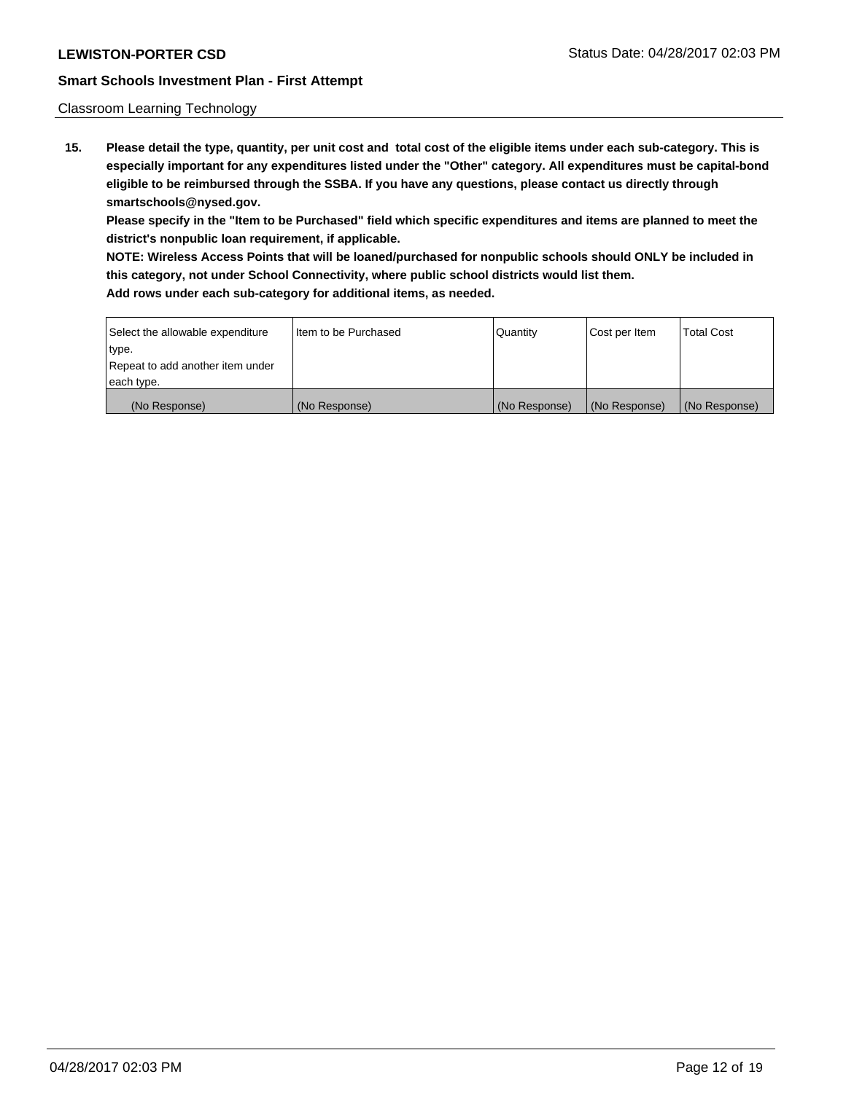#### Classroom Learning Technology

**15. Please detail the type, quantity, per unit cost and total cost of the eligible items under each sub-category. This is especially important for any expenditures listed under the "Other" category. All expenditures must be capital-bond eligible to be reimbursed through the SSBA. If you have any questions, please contact us directly through smartschools@nysed.gov.**

**Please specify in the "Item to be Purchased" field which specific expenditures and items are planned to meet the district's nonpublic loan requirement, if applicable.**

**NOTE: Wireless Access Points that will be loaned/purchased for nonpublic schools should ONLY be included in this category, not under School Connectivity, where public school districts would list them.**

| Select the allowable expenditure | I Item to be Purchased | Quantity      | Cost per Item | <b>Total Cost</b> |
|----------------------------------|------------------------|---------------|---------------|-------------------|
| type.                            |                        |               |               |                   |
| Repeat to add another item under |                        |               |               |                   |
| each type.                       |                        |               |               |                   |
| (No Response)                    | (No Response)          | (No Response) | (No Response) | (No Response)     |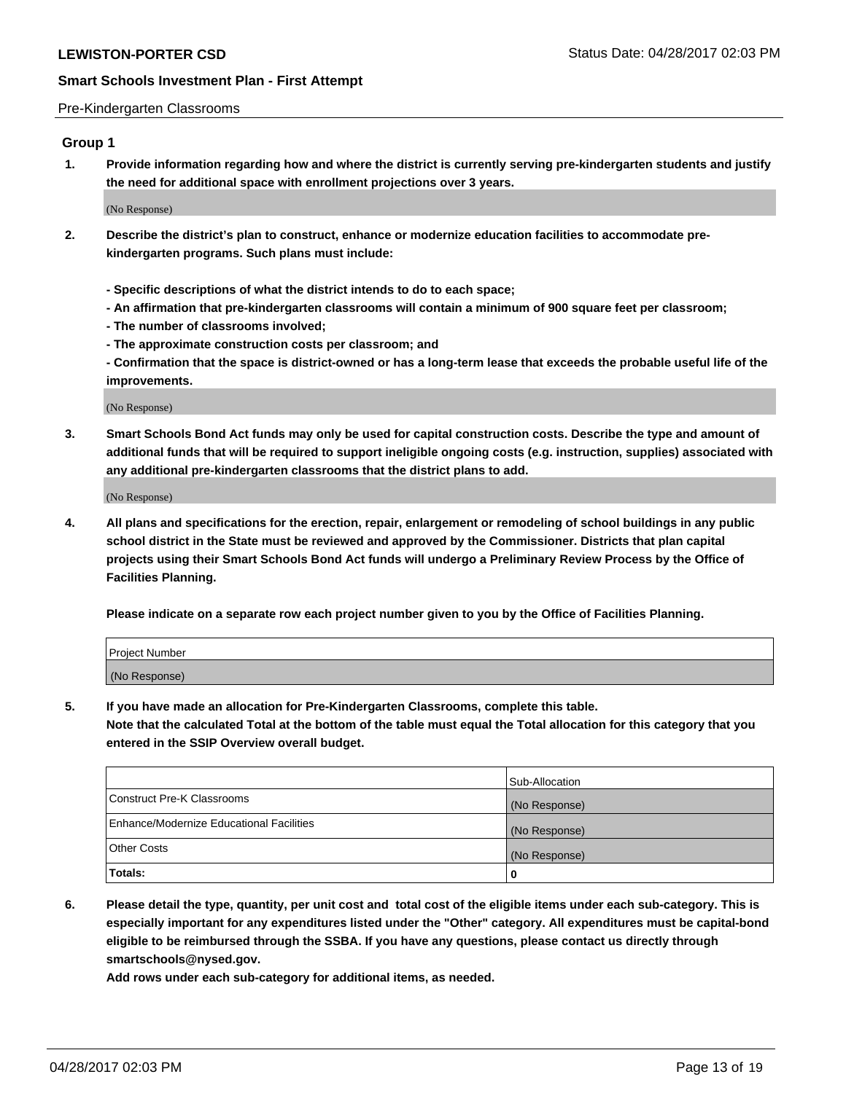#### Pre-Kindergarten Classrooms

## **Group 1**

**1. Provide information regarding how and where the district is currently serving pre-kindergarten students and justify the need for additional space with enrollment projections over 3 years.**

(No Response)

- **2. Describe the district's plan to construct, enhance or modernize education facilities to accommodate prekindergarten programs. Such plans must include:**
	- **Specific descriptions of what the district intends to do to each space;**
	- **An affirmation that pre-kindergarten classrooms will contain a minimum of 900 square feet per classroom;**
	- **The number of classrooms involved;**
	- **The approximate construction costs per classroom; and**

**- Confirmation that the space is district-owned or has a long-term lease that exceeds the probable useful life of the improvements.**

(No Response)

**3. Smart Schools Bond Act funds may only be used for capital construction costs. Describe the type and amount of additional funds that will be required to support ineligible ongoing costs (e.g. instruction, supplies) associated with any additional pre-kindergarten classrooms that the district plans to add.**

(No Response)

**4. All plans and specifications for the erection, repair, enlargement or remodeling of school buildings in any public school district in the State must be reviewed and approved by the Commissioner. Districts that plan capital projects using their Smart Schools Bond Act funds will undergo a Preliminary Review Process by the Office of Facilities Planning.**

**Please indicate on a separate row each project number given to you by the Office of Facilities Planning.**

| Project Number |  |
|----------------|--|
| (No Response)  |  |

**5. If you have made an allocation for Pre-Kindergarten Classrooms, complete this table.**

**Note that the calculated Total at the bottom of the table must equal the Total allocation for this category that you entered in the SSIP Overview overall budget.**

|                                          | Sub-Allocation |
|------------------------------------------|----------------|
| Construct Pre-K Classrooms               | (No Response)  |
| Enhance/Modernize Educational Facilities | (No Response)  |
| Other Costs                              | (No Response)  |
| Totals:                                  | 0              |

**6. Please detail the type, quantity, per unit cost and total cost of the eligible items under each sub-category. This is especially important for any expenditures listed under the "Other" category. All expenditures must be capital-bond eligible to be reimbursed through the SSBA. If you have any questions, please contact us directly through smartschools@nysed.gov.**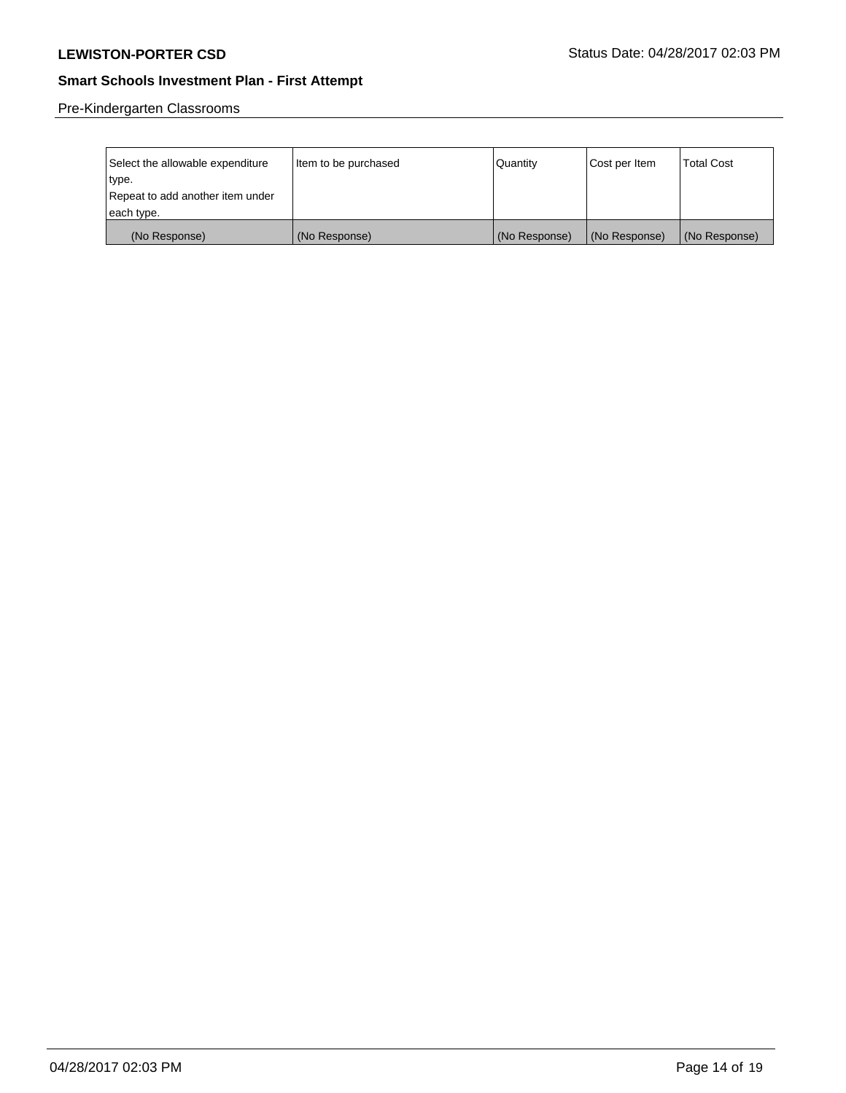Pre-Kindergarten Classrooms

| Select the allowable expenditure<br>type.      | Item to be purchased | Quantity      | Cost per Item | <b>Total Cost</b> |
|------------------------------------------------|----------------------|---------------|---------------|-------------------|
| Repeat to add another item under<br>each type. |                      |               |               |                   |
| (No Response)                                  | (No Response)        | (No Response) | (No Response) | (No Response)     |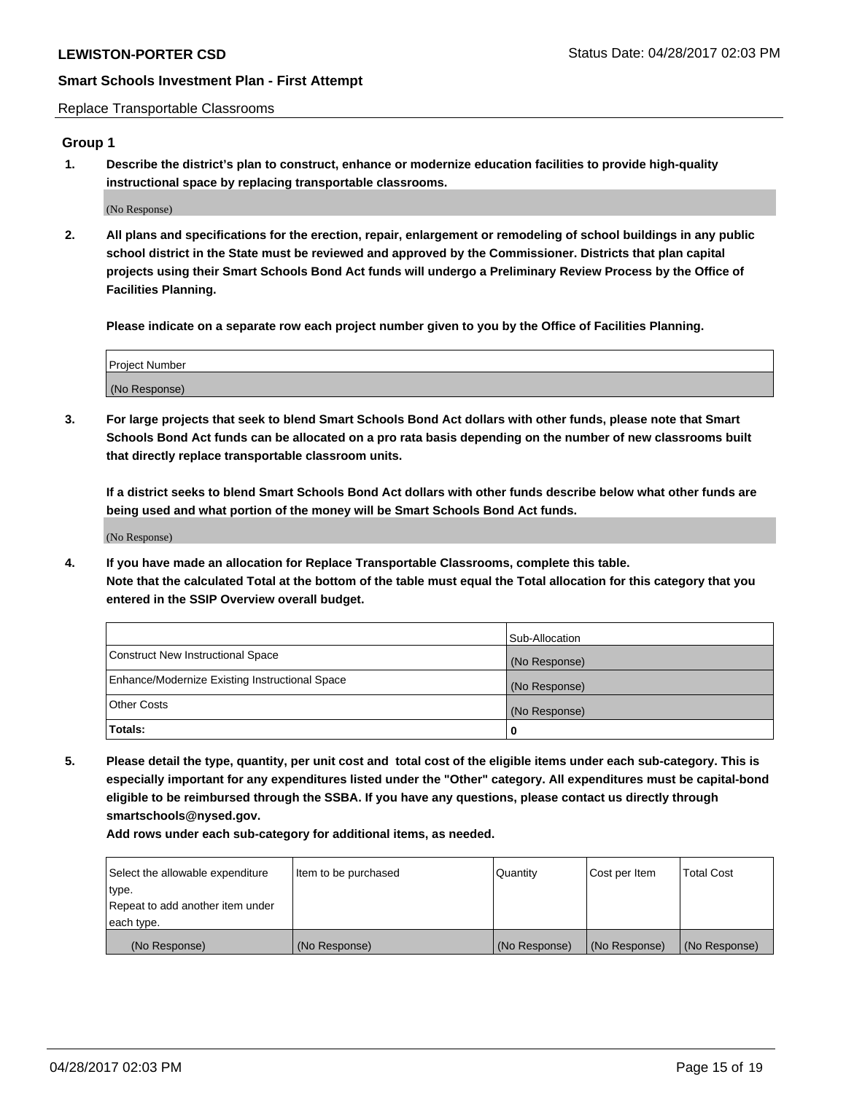Replace Transportable Classrooms

## **Group 1**

**1. Describe the district's plan to construct, enhance or modernize education facilities to provide high-quality instructional space by replacing transportable classrooms.**

(No Response)

**2. All plans and specifications for the erection, repair, enlargement or remodeling of school buildings in any public school district in the State must be reviewed and approved by the Commissioner. Districts that plan capital projects using their Smart Schools Bond Act funds will undergo a Preliminary Review Process by the Office of Facilities Planning.**

**Please indicate on a separate row each project number given to you by the Office of Facilities Planning.**

| Project Number |  |
|----------------|--|
| (No Response)  |  |

**3. For large projects that seek to blend Smart Schools Bond Act dollars with other funds, please note that Smart Schools Bond Act funds can be allocated on a pro rata basis depending on the number of new classrooms built that directly replace transportable classroom units.**

**If a district seeks to blend Smart Schools Bond Act dollars with other funds describe below what other funds are being used and what portion of the money will be Smart Schools Bond Act funds.**

(No Response)

**4. If you have made an allocation for Replace Transportable Classrooms, complete this table. Note that the calculated Total at the bottom of the table must equal the Total allocation for this category that you entered in the SSIP Overview overall budget.**

|                                                | Sub-Allocation |
|------------------------------------------------|----------------|
| Construct New Instructional Space              | (No Response)  |
| Enhance/Modernize Existing Instructional Space | (No Response)  |
| Other Costs                                    | (No Response)  |
| Totals:                                        | 0              |

**5. Please detail the type, quantity, per unit cost and total cost of the eligible items under each sub-category. This is especially important for any expenditures listed under the "Other" category. All expenditures must be capital-bond eligible to be reimbursed through the SSBA. If you have any questions, please contact us directly through smartschools@nysed.gov.**

| Select the allowable expenditure | Item to be purchased | <b>Quantity</b> | Cost per Item | <b>Total Cost</b> |
|----------------------------------|----------------------|-----------------|---------------|-------------------|
| type.                            |                      |                 |               |                   |
| Repeat to add another item under |                      |                 |               |                   |
| each type.                       |                      |                 |               |                   |
| (No Response)                    | (No Response)        | (No Response)   | (No Response) | (No Response)     |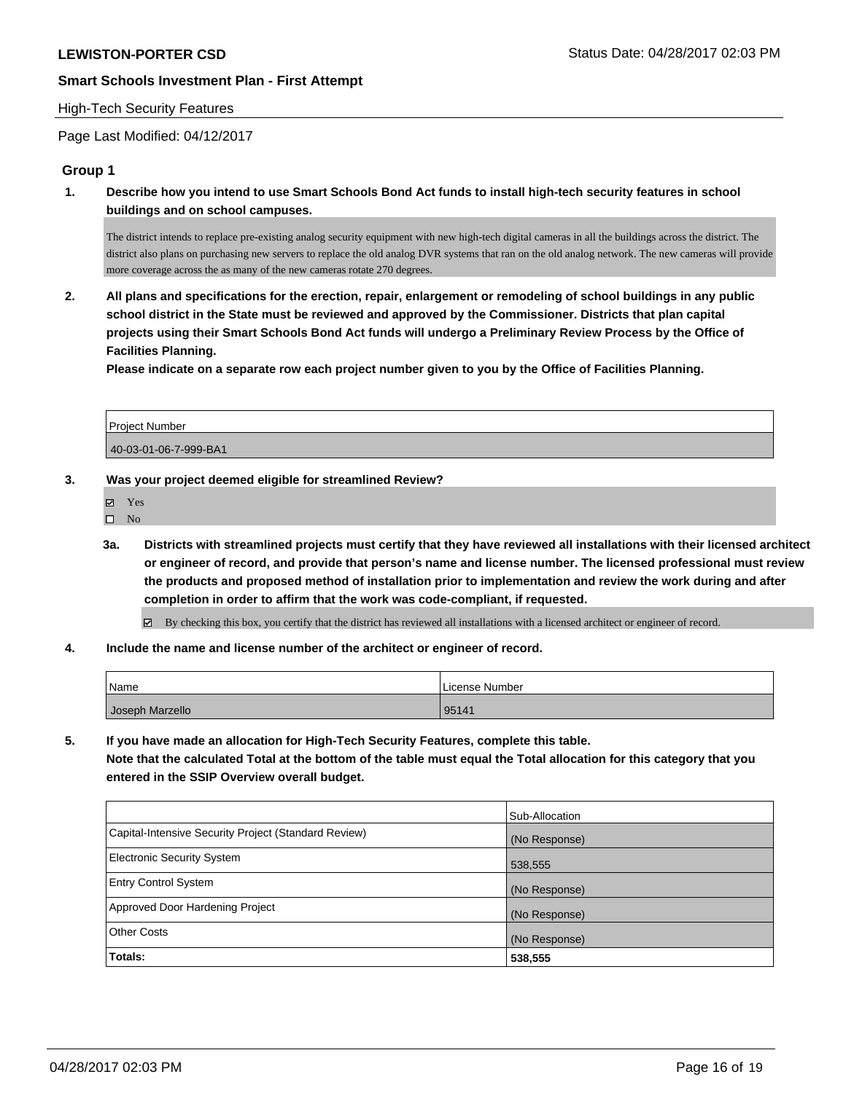#### High-Tech Security Features

Page Last Modified: 04/12/2017

## **Group 1**

**1. Describe how you intend to use Smart Schools Bond Act funds to install high-tech security features in school buildings and on school campuses.**

The district intends to replace pre-existing analog security equipment with new high-tech digital cameras in all the buildings across the district. The district also plans on purchasing new servers to replace the old analog DVR systems that ran on the old analog network. The new cameras will provide more coverage across the as many of the new cameras rotate 270 degrees.

**2. All plans and specifications for the erection, repair, enlargement or remodeling of school buildings in any public school district in the State must be reviewed and approved by the Commissioner. Districts that plan capital projects using their Smart Schools Bond Act funds will undergo a Preliminary Review Process by the Office of Facilities Planning.** 

**Please indicate on a separate row each project number given to you by the Office of Facilities Planning.**

| Project Number        |  |
|-----------------------|--|
| 40-03-01-06-7-999-BA1 |  |

#### **3. Was your project deemed eligible for streamlined Review?**

- Yes
- $\square$  No
- **3a. Districts with streamlined projects must certify that they have reviewed all installations with their licensed architect or engineer of record, and provide that person's name and license number. The licensed professional must review the products and proposed method of installation prior to implementation and review the work during and after completion in order to affirm that the work was code-compliant, if requested.**

By checking this box, you certify that the district has reviewed all installations with a licensed architect or engineer of record.

**4. Include the name and license number of the architect or engineer of record.**

| Name            | License Number |
|-----------------|----------------|
| Joseph Marzello | 95141          |

**5. If you have made an allocation for High-Tech Security Features, complete this table. Note that the calculated Total at the bottom of the table must equal the Total allocation for this category that you entered in the SSIP Overview overall budget.**

|                                                      | Sub-Allocation |
|------------------------------------------------------|----------------|
| Capital-Intensive Security Project (Standard Review) | (No Response)  |
| Electronic Security System                           | 538,555        |
| <b>Entry Control System</b>                          | (No Response)  |
| Approved Door Hardening Project                      | (No Response)  |
| <b>Other Costs</b>                                   | (No Response)  |
| Totals:                                              | 538,555        |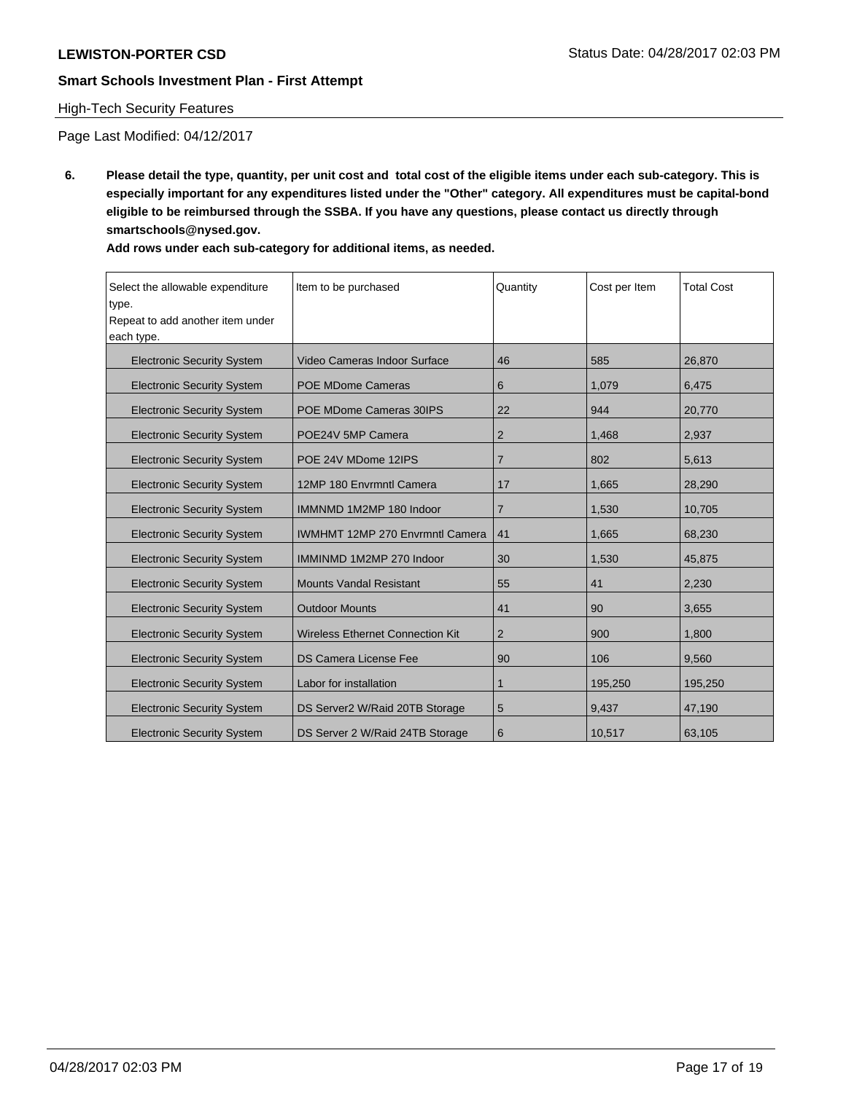## High-Tech Security Features

Page Last Modified: 04/12/2017

**6. Please detail the type, quantity, per unit cost and total cost of the eligible items under each sub-category. This is especially important for any expenditures listed under the "Other" category. All expenditures must be capital-bond eligible to be reimbursed through the SSBA. If you have any questions, please contact us directly through smartschools@nysed.gov.**

| Select the allowable expenditure<br>type.<br>Repeat to add another item under<br>each type. | Item to be purchased                    | Quantity       | Cost per Item | <b>Total Cost</b> |
|---------------------------------------------------------------------------------------------|-----------------------------------------|----------------|---------------|-------------------|
| <b>Electronic Security System</b>                                                           | Video Cameras Indoor Surface            | 46             | 585           | 26,870            |
| <b>Electronic Security System</b>                                                           | <b>POE MDome Cameras</b>                | 6              | 1,079         | 6,475             |
| <b>Electronic Security System</b>                                                           | POE MDome Cameras 30IPS                 | 22             | 944           | 20,770            |
| <b>Electronic Security System</b>                                                           | POE24V 5MP Camera                       | $\overline{2}$ | 1,468         | 2,937             |
| <b>Electronic Security System</b>                                                           | POE 24V MDome 12IPS                     | $\overline{7}$ | 802           | 5,613             |
| <b>Electronic Security System</b>                                                           | 12MP 180 Envrmntl Camera                | 17             | 1,665         | 28,290            |
| <b>Electronic Security System</b>                                                           | IMMNMD 1M2MP 180 Indoor                 | $\overline{7}$ | 1,530         | 10,705            |
| <b>Electronic Security System</b>                                                           | <b>IWMHMT 12MP 270 Envrmntl Camera</b>  | 41             | 1,665         | 68,230            |
| <b>Electronic Security System</b>                                                           | IMMINMD 1M2MP 270 Indoor                | 30             | 1,530         | 45,875            |
| <b>Electronic Security System</b>                                                           | <b>Mounts Vandal Resistant</b>          | 55             | 41            | 2,230             |
| <b>Electronic Security System</b>                                                           | <b>Outdoor Mounts</b>                   | 41             | 90            | 3,655             |
| <b>Electronic Security System</b>                                                           | <b>Wireless Ethernet Connection Kit</b> | $\overline{2}$ | 900           | 1,800             |
| <b>Electronic Security System</b>                                                           | <b>DS Camera License Fee</b>            | 90             | 106           | 9,560             |
| <b>Electronic Security System</b>                                                           | Labor for installation                  | $\mathbf 1$    | 195,250       | 195,250           |
| <b>Electronic Security System</b>                                                           | DS Server2 W/Raid 20TB Storage          | 5              | 9,437         | 47,190            |
|                                                                                             |                                         |                |               |                   |
| <b>Electronic Security System</b>                                                           | DS Server 2 W/Raid 24TB Storage         | 6              | 10,517        | 63,105            |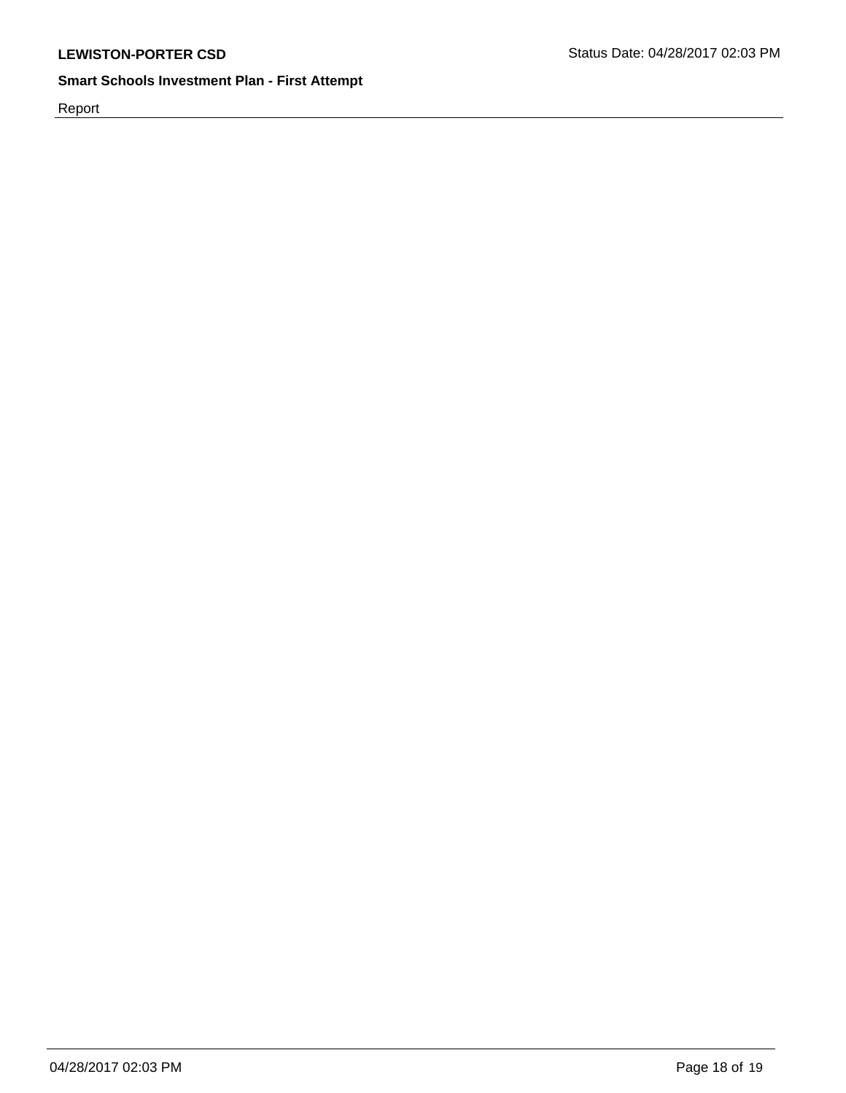Report